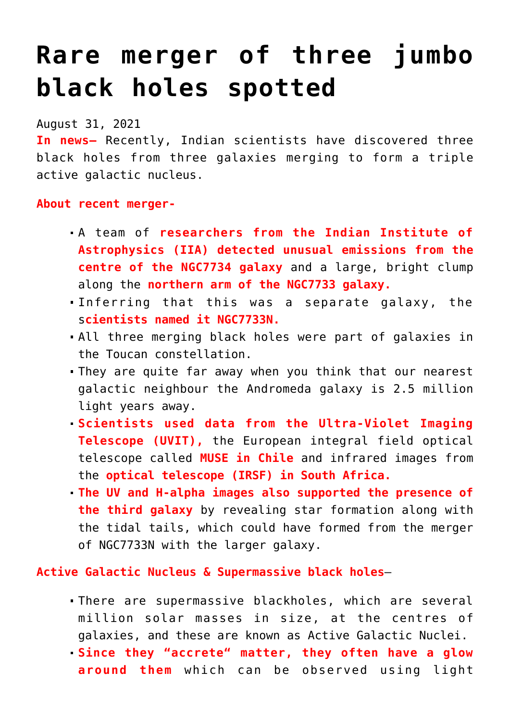# **[Rare merger of three jumbo](https://journalsofindia.com/rare-merger-of-three-jumbo-black-holes-spotted/) [black holes spotted](https://journalsofindia.com/rare-merger-of-three-jumbo-black-holes-spotted/)**

August 31, 2021

**In news–** Recently, Indian scientists have discovered three black holes from three galaxies merging to form a triple active galactic nucleus.

#### **About recent merger-**

- A team of **researchers from the Indian Institute of Astrophysics (IIA) detected unusual emissions from the centre of the NGC7734 galaxy** and a large, bright clump along the **northern arm of the NGC7733 galaxy.**
- Inferring that this was a separate galaxy, the s**cientists named it NGC7733N.**
- All three merging black holes were part of galaxies in the Toucan constellation.
- They are quite far away when you think that our nearest galactic neighbour the Andromeda galaxy is 2.5 million light years away.
- **Scientists used data from the Ultra-Violet Imaging Telescope (UVIT),** the European integral field optical telescope called **MUSE in Chile** and infrared images from the **optical telescope (IRSF) in South Africa.**
- **The UV and H-alpha images also supported the presence of the third galaxy** by revealing star formation along with the tidal tails, which could have formed from the merger of NGC7733N with the larger galaxy.

**Active Galactic Nucleus & Supermassive black holes**–

- There are supermassive blackholes, which are several million solar masses in size, at the centres of galaxies, and these are known as Active Galactic Nuclei.
- **Since they "accrete" matter, they often have a glow around them** which can be observed using light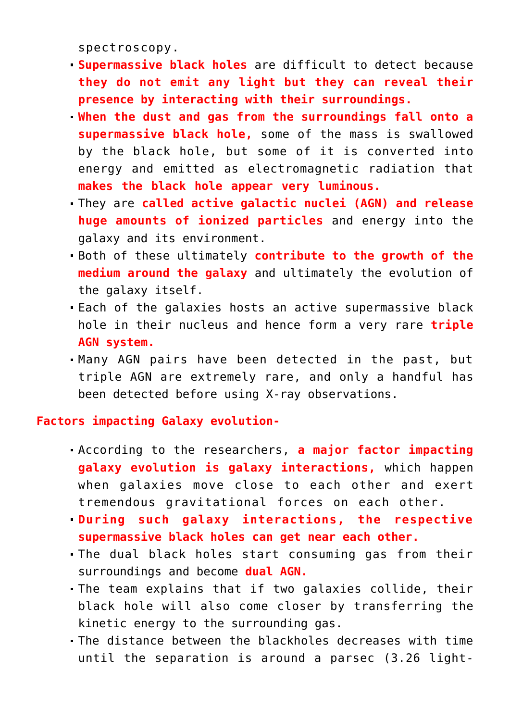spectroscopy.

- **Supermassive black holes** are difficult to detect because **they do not emit any light but they can reveal their presence by interacting with their surroundings.**
- **When the dust and gas from the surroundings fall onto a supermassive black hole,** some of the mass is swallowed by the black hole, but some of it is converted into energy and emitted as electromagnetic radiation that **makes the black hole appear very luminous.**
- They are **called active galactic nuclei (AGN) and release huge amounts of ionized particles** and energy into the galaxy and its environment.
- Both of these ultimately **contribute to the growth of the medium around the galaxy** and ultimately the evolution of the galaxy itself.
- Each of the galaxies hosts an active supermassive black hole in their nucleus and hence form a very rare **triple AGN system.**
- Many AGN pairs have been detected in the past, but triple AGN are extremely rare, and only a handful has been detected before using X-ray observations.

#### **Factors impacting Galaxy evolution-**

- According to the researchers, **a major factor impacting galaxy evolution is galaxy interactions,** which happen when galaxies move close to each other and exert tremendous gravitational forces on each other.
- **During such galaxy interactions, the respective supermassive black holes can get near each other.**
- The dual black holes start consuming gas from their surroundings and become **dual AGN.**
- The team explains that if two galaxies collide, their black hole will also come closer by transferring the kinetic energy to the surrounding gas.
- The distance between the blackholes decreases with time until the separation is around a parsec (3.26 light-